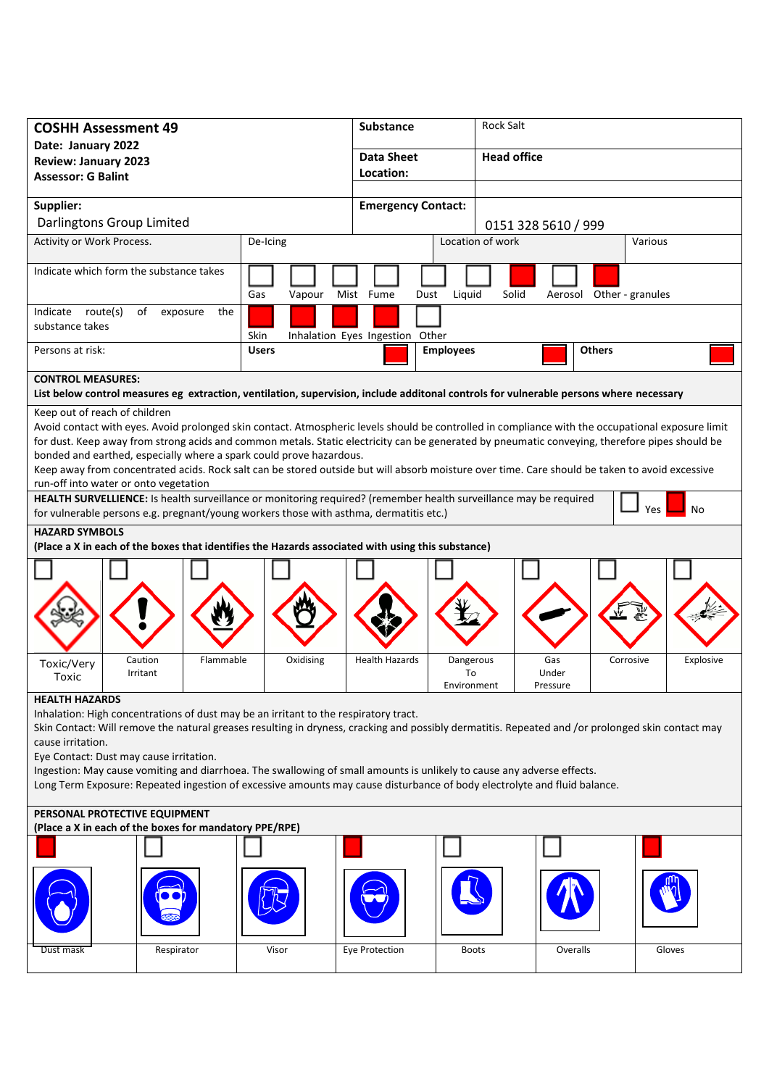| <b>COSHH Assessment 49</b>                                                                                                                                                                                                                         |                         | <b>Substance</b>                | <b>Rock Salt</b>            |                          |  |
|----------------------------------------------------------------------------------------------------------------------------------------------------------------------------------------------------------------------------------------------------|-------------------------|---------------------------------|-----------------------------|--------------------------|--|
| Date: January 2022                                                                                                                                                                                                                                 |                         | <b>Data Sheet</b>               | <b>Head office</b>          |                          |  |
| <b>Review: January 2023</b><br><b>Assessor: G Balint</b>                                                                                                                                                                                           |                         | Location:                       |                             |                          |  |
|                                                                                                                                                                                                                                                    |                         |                                 |                             |                          |  |
| Supplier:                                                                                                                                                                                                                                          |                         | <b>Emergency Contact:</b>       |                             |                          |  |
| Darlingtons Group Limited                                                                                                                                                                                                                          |                         |                                 |                             | 0151 328 5610 / 999      |  |
| Activity or Work Process.<br>De-Icing                                                                                                                                                                                                              |                         |                                 | Location of work<br>Various |                          |  |
| Indicate which form the substance takes                                                                                                                                                                                                            |                         |                                 |                             |                          |  |
|                                                                                                                                                                                                                                                    | Gas<br>Vapour Mist Fume |                                 | Solid                       |                          |  |
| Indicate route(s)<br>of                                                                                                                                                                                                                            |                         | Dust                            | Liquid                      | Aerosol Other - granules |  |
| exposure<br>the<br>substance takes                                                                                                                                                                                                                 |                         |                                 |                             |                          |  |
|                                                                                                                                                                                                                                                    | Skin                    | Inhalation Eyes Ingestion Other |                             |                          |  |
| Persons at risk:                                                                                                                                                                                                                                   | <b>Users</b>            | <b>Employees</b>                |                             | <b>Others</b>            |  |
| <b>CONTROL MEASURES:</b>                                                                                                                                                                                                                           |                         |                                 |                             |                          |  |
| List below control measures eg extraction, ventilation, supervision, include additonal controls for vulnerable persons where necessary                                                                                                             |                         |                                 |                             |                          |  |
| Keep out of reach of children                                                                                                                                                                                                                      |                         |                                 |                             |                          |  |
| Avoid contact with eyes. Avoid prolonged skin contact. Atmospheric levels should be controlled in compliance with the occupational exposure limit                                                                                                  |                         |                                 |                             |                          |  |
| for dust. Keep away from strong acids and common metals. Static electricity can be generated by pneumatic conveying, therefore pipes should be<br>bonded and earthed, especially where a spark could prove hazardous.                              |                         |                                 |                             |                          |  |
| Keep away from concentrated acids. Rock salt can be stored outside but will absorb moisture over time. Care should be taken to avoid excessive                                                                                                     |                         |                                 |                             |                          |  |
| run-off into water or onto vegetation                                                                                                                                                                                                              |                         |                                 |                             |                          |  |
| HEALTH SURVELLIENCE: Is health surveillance or monitoring required? (remember health surveillance may be required                                                                                                                                  |                         |                                 |                             | No                       |  |
| for vulnerable persons e.g. pregnant/young workers those with asthma, dermatitis etc.)                                                                                                                                                             |                         |                                 |                             | Yes                      |  |
| <b>HAZARD SYMBOLS</b>                                                                                                                                                                                                                              |                         |                                 |                             |                          |  |
| (Place a X in each of the boxes that identifies the Hazards associated with using this substance)                                                                                                                                                  |                         |                                 |                             |                          |  |
|                                                                                                                                                                                                                                                    |                         |                                 |                             |                          |  |
|                                                                                                                                                                                                                                                    |                         |                                 |                             |                          |  |
|                                                                                                                                                                                                                                                    |                         |                                 |                             |                          |  |
|                                                                                                                                                                                                                                                    |                         |                                 |                             |                          |  |
|                                                                                                                                                                                                                                                    |                         |                                 |                             |                          |  |
| Caution<br>Flammable<br>Toxic/Very                                                                                                                                                                                                                 | Oxidising               | <b>Health Hazards</b>           | Gas<br>Dangerous            | Corrosive<br>Explosive   |  |
| Irritant<br>Toxic                                                                                                                                                                                                                                  |                         |                                 | To<br>Under                 |                          |  |
| <b>HEALTH HAZARDS</b>                                                                                                                                                                                                                              |                         |                                 | Environment<br>Pressure     |                          |  |
| Inhalation: High concentrations of dust may be an irritant to the respiratory tract.                                                                                                                                                               |                         |                                 |                             |                          |  |
| Skin Contact: Will remove the natural greases resulting in dryness, cracking and possibly dermatitis. Repeated and /or prolonged skin contact may                                                                                                  |                         |                                 |                             |                          |  |
| cause irritation.                                                                                                                                                                                                                                  |                         |                                 |                             |                          |  |
| Eye Contact: Dust may cause irritation.                                                                                                                                                                                                            |                         |                                 |                             |                          |  |
| Ingestion: May cause vomiting and diarrhoea. The swallowing of small amounts is unlikely to cause any adverse effects.<br>Long Term Exposure: Repeated ingestion of excessive amounts may cause disturbance of body electrolyte and fluid balance. |                         |                                 |                             |                          |  |
|                                                                                                                                                                                                                                                    |                         |                                 |                             |                          |  |
| PERSONAL PROTECTIVE EQUIPMENT                                                                                                                                                                                                                      |                         |                                 |                             |                          |  |
| (Place a X in each of the boxes for mandatory PPE/RPE)                                                                                                                                                                                             |                         |                                 |                             |                          |  |
|                                                                                                                                                                                                                                                    |                         |                                 |                             |                          |  |
|                                                                                                                                                                                                                                                    |                         |                                 |                             |                          |  |
|                                                                                                                                                                                                                                                    |                         |                                 |                             |                          |  |
|                                                                                                                                                                                                                                                    |                         |                                 |                             |                          |  |
|                                                                                                                                                                                                                                                    |                         |                                 |                             |                          |  |
|                                                                                                                                                                                                                                                    |                         |                                 |                             |                          |  |
| Dust mask<br>Respirator                                                                                                                                                                                                                            | Visor                   | Eye Protection                  | <b>Boots</b>                | Overalls<br>Gloves       |  |
|                                                                                                                                                                                                                                                    |                         |                                 |                             |                          |  |